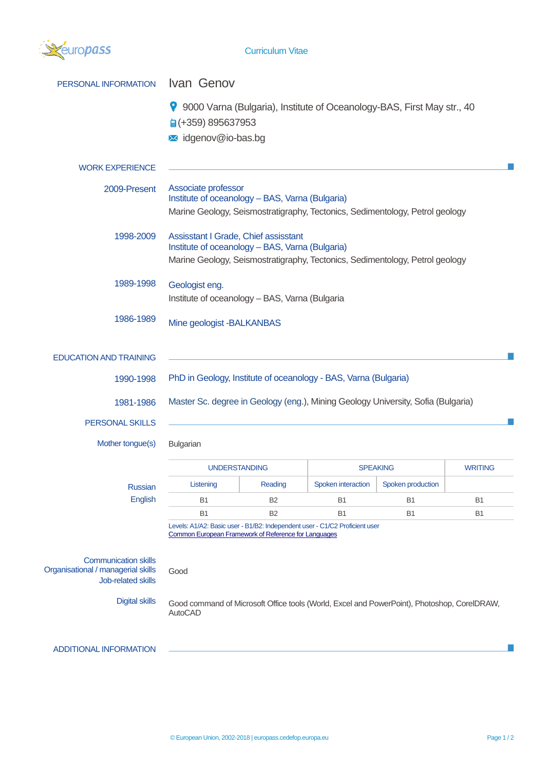

| PERSONAL INFORMATION                                                                    | Ivan Genov                                                                                                                                                              |                |                    |                   |                |  |
|-----------------------------------------------------------------------------------------|-------------------------------------------------------------------------------------------------------------------------------------------------------------------------|----------------|--------------------|-------------------|----------------|--|
|                                                                                         | 9000 Varna (Bulgaria), Institute of Oceanology-BAS, First May str., 40<br><b>a</b> (+359) 895637953                                                                     |                |                    |                   |                |  |
|                                                                                         | Midgenov@io-bas.bg                                                                                                                                                      |                |                    |                   |                |  |
| <b>WORK EXPERIENCE</b>                                                                  |                                                                                                                                                                         |                |                    |                   |                |  |
| 2009-Present                                                                            | Associate professor<br>Institute of oceanology - BAS, Varna (Bulgaria)<br>Marine Geology, Seismostratigraphy, Tectonics, Sedimentology, Petrol geology                  |                |                    |                   |                |  |
| 1998-2009                                                                               | Assisstant I Grade, Chief assisstant<br>Institute of oceanology - BAS, Varna (Bulgaria)<br>Marine Geology, Seismostratigraphy, Tectonics, Sedimentology, Petrol geology |                |                    |                   |                |  |
| 1989-1998                                                                               | Geologist eng.<br>Institute of oceanology - BAS, Varna (Bulgaria                                                                                                        |                |                    |                   |                |  |
| 1986-1989                                                                               | Mine geologist - BALKANBAS                                                                                                                                              |                |                    |                   |                |  |
| <b>EDUCATION AND TRAINING</b>                                                           |                                                                                                                                                                         |                |                    |                   |                |  |
| 1990-1998                                                                               | PhD in Geology, Institute of oceanology - BAS, Varna (Bulgaria)                                                                                                         |                |                    |                   |                |  |
| 1981-1986                                                                               | Master Sc. degree in Geology (eng.), Mining Geology University, Sofia (Bulgaria)                                                                                        |                |                    |                   |                |  |
| PERSONAL SKILLS                                                                         |                                                                                                                                                                         |                |                    |                   |                |  |
| Mother tongue(s)                                                                        | Bulgarian                                                                                                                                                               |                |                    |                   |                |  |
|                                                                                         | <b>UNDERSTANDING</b>                                                                                                                                                    |                |                    | <b>SPEAKING</b>   | <b>WRITING</b> |  |
| <b>Russian</b>                                                                          | Listening                                                                                                                                                               | Reading        | Spoken interaction | Spoken production |                |  |
| English                                                                                 | <b>B1</b>                                                                                                                                                               | B2             | B <sub>1</sub>     | B1                | B <sub>1</sub> |  |
|                                                                                         | <b>B1</b>                                                                                                                                                               | B <sub>2</sub> | <b>B1</b>          | <b>B1</b>         | <b>B1</b>      |  |
|                                                                                         | Levels: A1/A2: Basic user - B1/B2: Independent user - C1/C2 Proficient user<br>Common European Framework of Reference for Languages                                     |                |                    |                   |                |  |
|                                                                                         |                                                                                                                                                                         |                |                    |                   |                |  |
| <b>Communication skills</b><br>Organisational / managerial skills<br>Job-related skills | Good                                                                                                                                                                    |                |                    |                   |                |  |
| <b>Digital skills</b>                                                                   | Good command of Microsoft Office tools (World, Excel and PowerPoint), Photoshop, CorelDRAW,<br><b>AutoCAD</b>                                                           |                |                    |                   |                |  |
| <b>ADDITIONAL INFORMATION</b>                                                           |                                                                                                                                                                         |                |                    |                   |                |  |